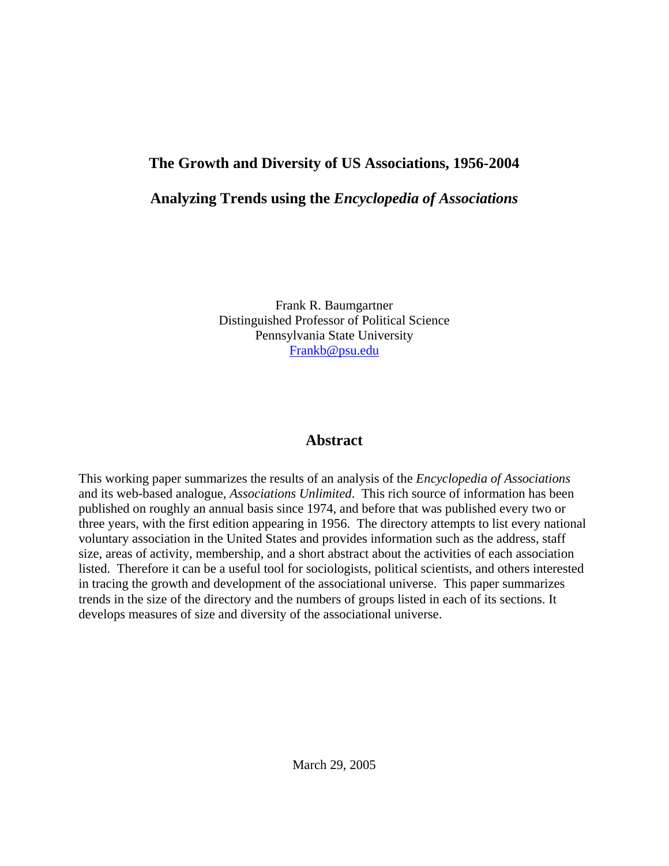## **The Growth and Diversity of US Associations, 1956-2004**

### **Analyzing Trends using the** *Encyclopedia of Associations*

Frank R. Baumgartner Distinguished Professor of Political Science Pennsylvania State University Frankb@psu.edu

#### **Abstract**

This working paper summarizes the results of an analysis of the *Encyclopedia of Associations* and its web-based analogue, *Associations Unlimited*. This rich source of information has been published on roughly an annual basis since 1974, and before that was published every two or three years, with the first edition appearing in 1956. The directory attempts to list every national voluntary association in the United States and provides information such as the address, staff size, areas of activity, membership, and a short abstract about the activities of each association listed. Therefore it can be a useful tool for sociologists, political scientists, and others interested in tracing the growth and development of the associational universe. This paper summarizes trends in the size of the directory and the numbers of groups listed in each of its sections. It develops measures of size and diversity of the associational universe.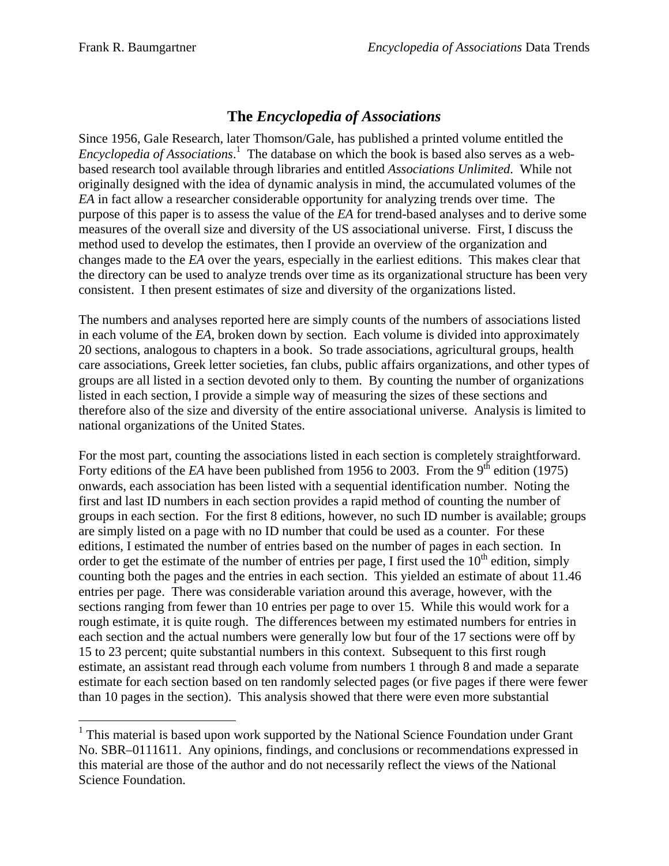$\overline{a}$ 

## **The** *Encyclopedia of Associations*

Since 1956, Gale Research, later Thomson/Gale, has published a printed volume entitled the *Encyclopedia of Associations*. 1 The database on which the book is based also serves as a webbased research tool available through libraries and entitled *Associations Unlimited*. While not originally designed with the idea of dynamic analysis in mind, the accumulated volumes of the *EA* in fact allow a researcher considerable opportunity for analyzing trends over time. The purpose of this paper is to assess the value of the *EA* for trend-based analyses and to derive some measures of the overall size and diversity of the US associational universe. First, I discuss the method used to develop the estimates, then I provide an overview of the organization and changes made to the *EA* over the years, especially in the earliest editions. This makes clear that the directory can be used to analyze trends over time as its organizational structure has been very consistent. I then present estimates of size and diversity of the organizations listed.

The numbers and analyses reported here are simply counts of the numbers of associations listed in each volume of the *EA*, broken down by section. Each volume is divided into approximately 20 sections, analogous to chapters in a book. So trade associations, agricultural groups, health care associations, Greek letter societies, fan clubs, public affairs organizations, and other types of groups are all listed in a section devoted only to them. By counting the number of organizations listed in each section, I provide a simple way of measuring the sizes of these sections and therefore also of the size and diversity of the entire associational universe. Analysis is limited to national organizations of the United States.

For the most part, counting the associations listed in each section is completely straightforward. Forty editions of the *EA* have been published from 1956 to 2003. From the  $9<sup>th</sup>$  edition (1975) onwards, each association has been listed with a sequential identification number. Noting the first and last ID numbers in each section provides a rapid method of counting the number of groups in each section. For the first 8 editions, however, no such ID number is available; groups are simply listed on a page with no ID number that could be used as a counter. For these editions, I estimated the number of entries based on the number of pages in each section. In order to get the estimate of the number of entries per page, I first used the  $10<sup>th</sup>$  edition, simply counting both the pages and the entries in each section. This yielded an estimate of about 11.46 entries per page. There was considerable variation around this average, however, with the sections ranging from fewer than 10 entries per page to over 15. While this would work for a rough estimate, it is quite rough. The differences between my estimated numbers for entries in each section and the actual numbers were generally low but four of the 17 sections were off by 15 to 23 percent; quite substantial numbers in this context. Subsequent to this first rough estimate, an assistant read through each volume from numbers 1 through 8 and made a separate estimate for each section based on ten randomly selected pages (or five pages if there were fewer than 10 pages in the section). This analysis showed that there were even more substantial

<sup>&</sup>lt;sup>1</sup> This material is based upon work supported by the National Science Foundation under Grant No. SBR–0111611. Any opinions, findings, and conclusions or recommendations expressed in this material are those of the author and do not necessarily reflect the views of the National Science Foundation.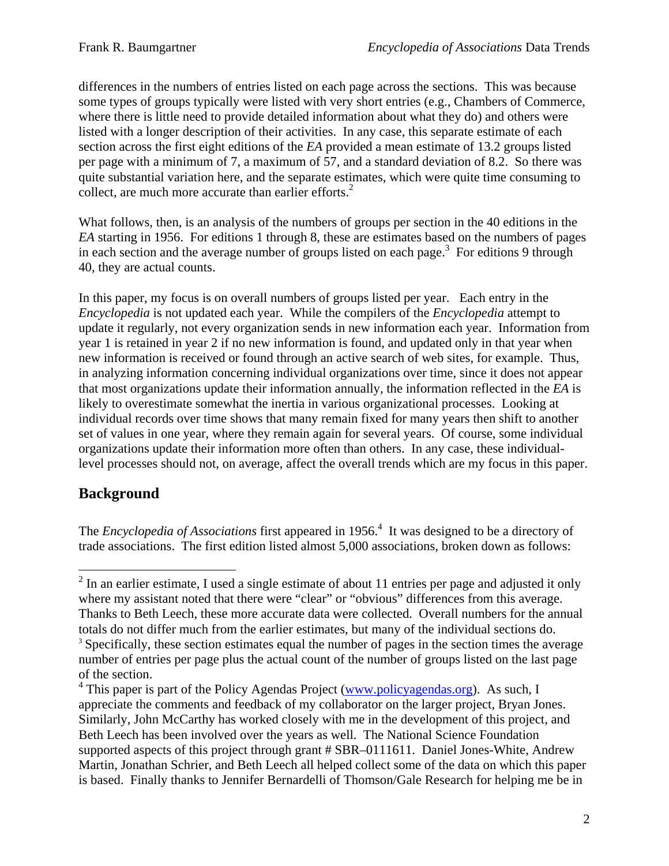differences in the numbers of entries listed on each page across the sections. This was because some types of groups typically were listed with very short entries (e.g., Chambers of Commerce, where there is little need to provide detailed information about what they do) and others were listed with a longer description of their activities. In any case, this separate estimate of each section across the first eight editions of the *EA* provided a mean estimate of 13.2 groups listed per page with a minimum of 7, a maximum of 57, and a standard deviation of 8.2. So there was quite substantial variation here, and the separate estimates, which were quite time consuming to collect, are much more accurate than earlier efforts. $<sup>2</sup>$ </sup>

What follows, then, is an analysis of the numbers of groups per section in the 40 editions in the *EA* starting in 1956. For editions 1 through 8, these are estimates based on the numbers of pages in each section and the average number of groups listed on each page.<sup>3</sup> For editions 9 through 40, they are actual counts.

In this paper, my focus is on overall numbers of groups listed per year. Each entry in the *Encyclopedia* is not updated each year. While the compilers of the *Encyclopedia* attempt to update it regularly, not every organization sends in new information each year. Information from year 1 is retained in year 2 if no new information is found, and updated only in that year when new information is received or found through an active search of web sites, for example. Thus, in analyzing information concerning individual organizations over time, since it does not appear that most organizations update their information annually, the information reflected in the *EA* is likely to overestimate somewhat the inertia in various organizational processes. Looking at individual records over time shows that many remain fixed for many years then shift to another set of values in one year, where they remain again for several years. Of course, some individual organizations update their information more often than others. In any case, these individuallevel processes should not, on average, affect the overall trends which are my focus in this paper.

### **Background**

The *Encyclopedia of Associations* first appeared in 1956.<sup>4</sup> It was designed to be a directory of trade associations. The first edition listed almost 5,000 associations, broken down as follows:

<sup>&</sup>lt;sup>2</sup> In an earlier estimate, I used a single estimate of about 11 entries per page and adjusted it only where my assistant noted that there were "clear" or "obvious" differences from this average. Thanks to Beth Leech, these more accurate data were collected. Overall numbers for the annual totals do not differ much from the earlier estimates, but many of the individual sections do.<br><sup>3</sup> Specifically, these section estimates equal the number of pages in the section times the average number of entries per page plus the actual count of the number of groups listed on the last page of the section.

<sup>&</sup>lt;sup>4</sup> This paper is part of the Policy Agendas Project (www.policyagendas.org). As such, I appreciate the comments and feedback of my collaborator on the larger project, Bryan Jones. Similarly, John McCarthy has worked closely with me in the development of this project, and Beth Leech has been involved over the years as well. The National Science Foundation supported aspects of this project through grant # SBR–0111611. Daniel Jones-White, Andrew Martin, Jonathan Schrier, and Beth Leech all helped collect some of the data on which this paper is based. Finally thanks to Jennifer Bernardelli of Thomson/Gale Research for helping me be in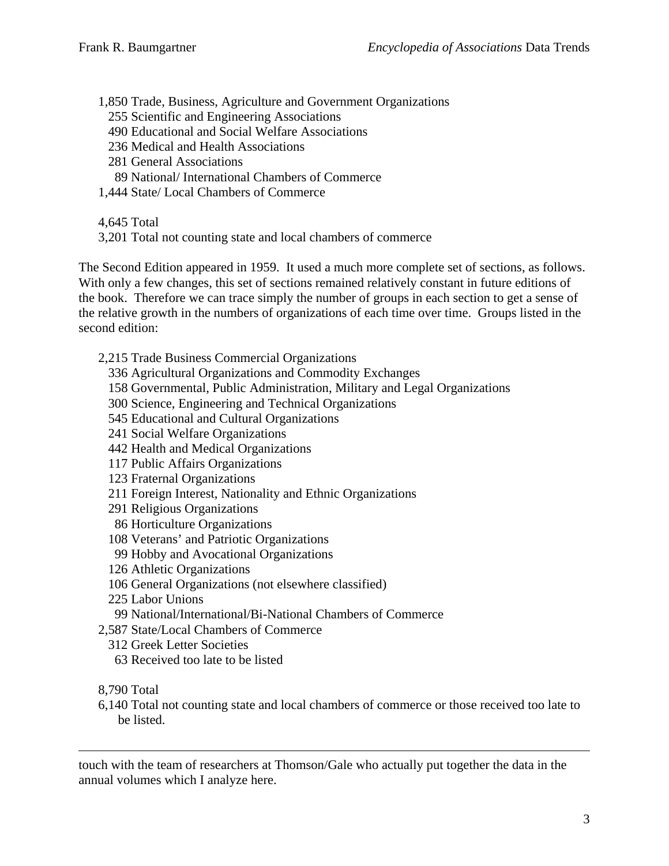- 1,850 Trade, Business, Agriculture and Government Organizations
	- 255 Scientific and Engineering Associations
	- 490 Educational and Social Welfare Associations
	- 236 Medical and Health Associations
	- 281 General Associations
	- 89 National/ International Chambers of Commerce
- 1,444 State/ Local Chambers of Commerce
- 4,645 Total
- 3,201 Total not counting state and local chambers of commerce

The Second Edition appeared in 1959. It used a much more complete set of sections, as follows. With only a few changes, this set of sections remained relatively constant in future editions of the book. Therefore we can trace simply the number of groups in each section to get a sense of the relative growth in the numbers of organizations of each time over time. Groups listed in the second edition:

- 2,215 Trade Business Commercial Organizations
	- 336 Agricultural Organizations and Commodity Exchanges
	- 158 Governmental, Public Administration, Military and Legal Organizations
	- 300 Science, Engineering and Technical Organizations
	- 545 Educational and Cultural Organizations
	- 241 Social Welfare Organizations
	- 442 Health and Medical Organizations
	- 117 Public Affairs Organizations
	- 123 Fraternal Organizations
	- 211 Foreign Interest, Nationality and Ethnic Organizations
	- 291 Religious Organizations
	- 86 Horticulture Organizations
	- 108 Veterans' and Patriotic Organizations
	- 99 Hobby and Avocational Organizations
	- 126 Athletic Organizations
	- 106 General Organizations (not elsewhere classified)
	- 225 Labor Unions
	- 99 National/International/Bi-National Chambers of Commerce
- 2,587 State/Local Chambers of Commerce
- 312 Greek Letter Societies
	- 63 Received too late to be listed
- 8,790 Total

 $\overline{a}$ 

6,140 Total not counting state and local chambers of commerce or those received too late to be listed.

touch with the team of researchers at Thomson/Gale who actually put together the data in the annual volumes which I analyze here.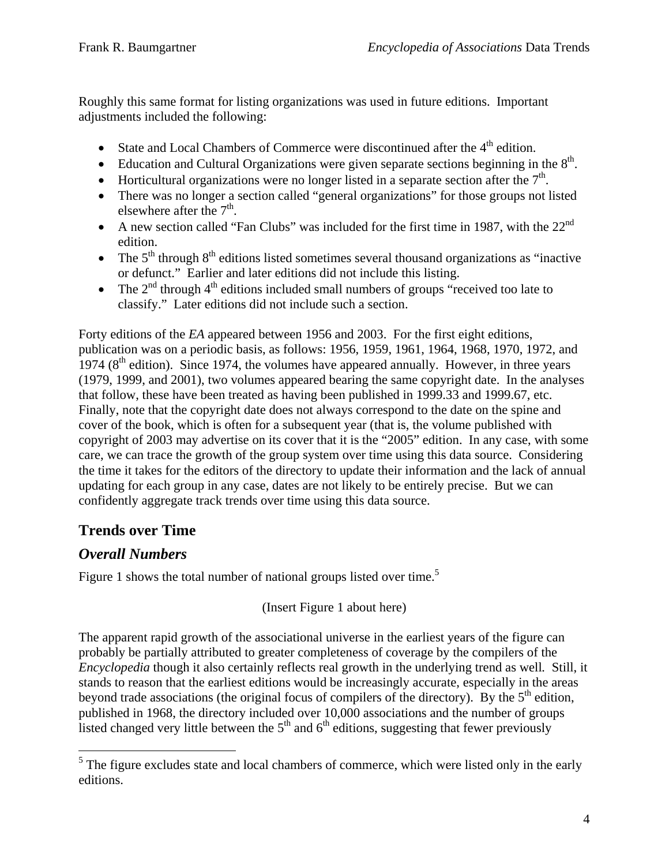Roughly this same format for listing organizations was used in future editions. Important adjustments included the following:

- State and Local Chambers of Commerce were discontinued after the  $4<sup>th</sup>$  edition.
- Education and Cultural Organizations were given separate sections beginning in the  $8<sup>th</sup>$ .
- Horticultural organizations were no longer listed in a separate section after the  $7<sup>th</sup>$ .
- There was no longer a section called "general organizations" for those groups not listed elsewhere after the  $7<sup>th</sup>$ .
- A new section called "Fan Clubs" was included for the first time in 1987, with the  $22<sup>nd</sup>$ edition.
- The  $5<sup>th</sup>$  through  $8<sup>th</sup>$  editions listed sometimes several thousand organizations as "inactive" or defunct." Earlier and later editions did not include this listing.
- The  $2<sup>nd</sup>$  through  $4<sup>th</sup>$  editions included small numbers of groups "received too late to classify." Later editions did not include such a section.

Forty editions of the *EA* appeared between 1956 and 2003. For the first eight editions, publication was on a periodic basis, as follows: 1956, 1959, 1961, 1964, 1968, 1970, 1972, and 1974 ( $8<sup>th</sup>$  edition). Since 1974, the volumes have appeared annually. However, in three years (1979, 1999, and 2001), two volumes appeared bearing the same copyright date. In the analyses that follow, these have been treated as having been published in 1999.33 and 1999.67, etc. Finally, note that the copyright date does not always correspond to the date on the spine and cover of the book, which is often for a subsequent year (that is, the volume published with copyright of 2003 may advertise on its cover that it is the "2005" edition. In any case, with some care, we can trace the growth of the group system over time using this data source. Considering the time it takes for the editors of the directory to update their information and the lack of annual updating for each group in any case, dates are not likely to be entirely precise. But we can confidently aggregate track trends over time using this data source.

# **Trends over Time**

### *Overall Numbers*

Figure 1 shows the total number of national groups listed over time.<sup>5</sup>

(Insert Figure 1 about here)

The apparent rapid growth of the associational universe in the earliest years of the figure can probably be partially attributed to greater completeness of coverage by the compilers of the *Encyclopedia* though it also certainly reflects real growth in the underlying trend as well*.* Still, it stands to reason that the earliest editions would be increasingly accurate, especially in the areas beyond trade associations (the original focus of compilers of the directory). By the  $5<sup>th</sup>$  edition, published in 1968, the directory included over 10,000 associations and the number of groups listed changed very little between the  $5<sup>th</sup>$  and  $6<sup>th</sup>$  editions, suggesting that fewer previously

<sup>&</sup>lt;sup>5</sup>The figure excludes state and local chambers of commerce, which were listed only in the early editions.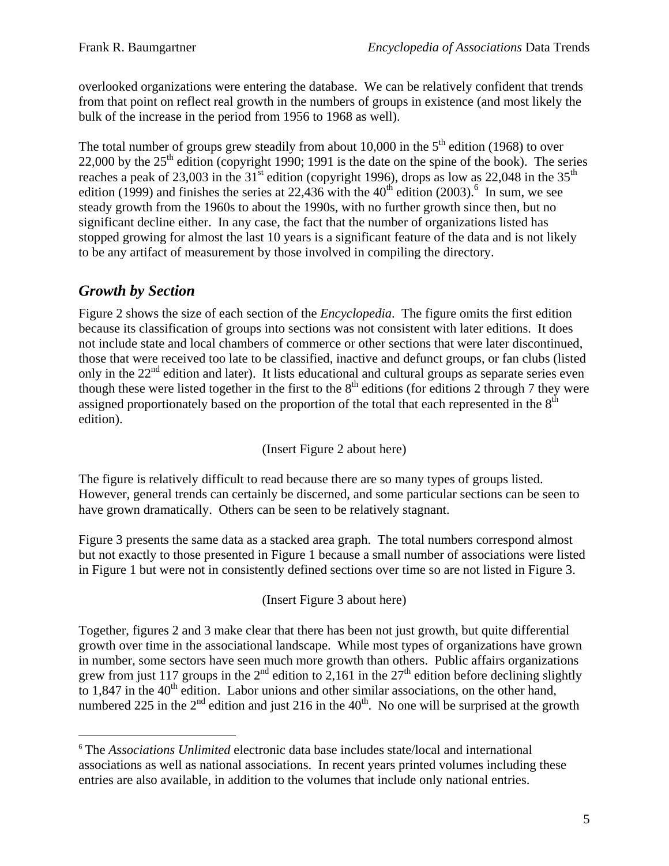overlooked organizations were entering the database. We can be relatively confident that trends from that point on reflect real growth in the numbers of groups in existence (and most likely the bulk of the increase in the period from 1956 to 1968 as well).

The total number of groups grew steadily from about 10,000 in the  $5<sup>th</sup>$  edition (1968) to over 22,000 by the  $25<sup>th</sup>$  edition (copyright 1990; 1991 is the date on the spine of the book). The series reaches a peak of 23,003 in the  $31<sup>st</sup>$  edition (copyright 1996), drops as low as 22,048 in the  $35<sup>th</sup>$ edition (1999) and finishes the series at 22,436 with the  $40<sup>th</sup>$  edition (2003).<sup>6</sup> In sum, we see steady growth from the 1960s to about the 1990s, with no further growth since then, but no significant decline either. In any case, the fact that the number of organizations listed has stopped growing for almost the last 10 years is a significant feature of the data and is not likely to be any artifact of measurement by those involved in compiling the directory.

# *Growth by Section*

 $\overline{a}$ 

Figure 2 shows the size of each section of the *Encyclopedia*. The figure omits the first edition because its classification of groups into sections was not consistent with later editions. It does not include state and local chambers of commerce or other sections that were later discontinued, those that were received too late to be classified, inactive and defunct groups, or fan clubs (listed only in the 22<sup>nd</sup> edition and later). It lists educational and cultural groups as separate series even though these were listed together in the first to the  $8<sup>th</sup>$  editions (for editions 2 through 7 they were assigned proportionately based on the proportion of the total that each represented in the  $8<sup>th</sup>$ edition).

(Insert Figure 2 about here)

The figure is relatively difficult to read because there are so many types of groups listed. However, general trends can certainly be discerned, and some particular sections can be seen to have grown dramatically. Others can be seen to be relatively stagnant.

Figure 3 presents the same data as a stacked area graph. The total numbers correspond almost but not exactly to those presented in Figure 1 because a small number of associations were listed in Figure 1 but were not in consistently defined sections over time so are not listed in Figure 3.

(Insert Figure 3 about here)

Together, figures 2 and 3 make clear that there has been not just growth, but quite differential growth over time in the associational landscape. While most types of organizations have grown in number, some sectors have seen much more growth than others. Public affairs organizations grew from just 117 groups in the  $2^{nd}$  edition to 2,161 in the 27<sup>th</sup> edition before declining slightly to  $1.847$  in the  $40<sup>th</sup>$  edition. Labor unions and other similar associations, on the other hand, numbered 225 in the  $2<sup>nd</sup>$  edition and just 216 in the  $40<sup>th</sup>$ . No one will be surprised at the growth

<sup>6</sup> The *Associations Unlimited* electronic data base includes state/local and international associations as well as national associations. In recent years printed volumes including these entries are also available, in addition to the volumes that include only national entries.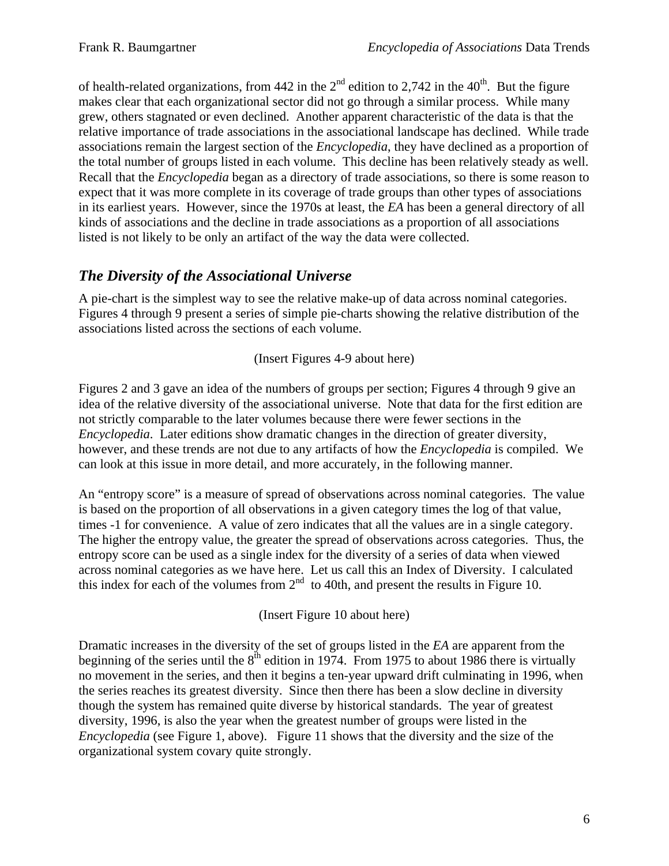of health-related organizations, from 442 in the  $2<sup>nd</sup>$  edition to 2,742 in the 40<sup>th</sup>. But the figure makes clear that each organizational sector did not go through a similar process. While many grew, others stagnated or even declined. Another apparent characteristic of the data is that the relative importance of trade associations in the associational landscape has declined. While trade associations remain the largest section of the *Encyclopedia*, they have declined as a proportion of the total number of groups listed in each volume. This decline has been relatively steady as well. Recall that the *Encyclopedia* began as a directory of trade associations, so there is some reason to expect that it was more complete in its coverage of trade groups than other types of associations in its earliest years. However, since the 1970s at least, the *EA* has been a general directory of all kinds of associations and the decline in trade associations as a proportion of all associations listed is not likely to be only an artifact of the way the data were collected.

# *The Diversity of the Associational Universe*

A pie-chart is the simplest way to see the relative make-up of data across nominal categories. Figures 4 through 9 present a series of simple pie-charts showing the relative distribution of the associations listed across the sections of each volume.

(Insert Figures 4-9 about here)

Figures 2 and 3 gave an idea of the numbers of groups per section; Figures 4 through 9 give an idea of the relative diversity of the associational universe. Note that data for the first edition are not strictly comparable to the later volumes because there were fewer sections in the *Encyclopedia*. Later editions show dramatic changes in the direction of greater diversity, however, and these trends are not due to any artifacts of how the *Encyclopedia* is compiled. We can look at this issue in more detail, and more accurately, in the following manner.

An "entropy score" is a measure of spread of observations across nominal categories. The value is based on the proportion of all observations in a given category times the log of that value, times -1 for convenience. A value of zero indicates that all the values are in a single category. The higher the entropy value, the greater the spread of observations across categories. Thus, the entropy score can be used as a single index for the diversity of a series of data when viewed across nominal categories as we have here. Let us call this an Index of Diversity. I calculated this index for each of the volumes from  $2<sup>nd</sup>$  to 40th, and present the results in Figure 10.

(Insert Figure 10 about here)

Dramatic increases in the diversity of the set of groups listed in the *EA* are apparent from the beginning of the series until the  $8<sup>th</sup>$  edition in 1974. From 1975 to about 1986 there is virtually no movement in the series, and then it begins a ten-year upward drift culminating in 1996, when the series reaches its greatest diversity. Since then there has been a slow decline in diversity though the system has remained quite diverse by historical standards. The year of greatest diversity, 1996, is also the year when the greatest number of groups were listed in the *Encyclopedia* (see Figure 1, above). Figure 11 shows that the diversity and the size of the organizational system covary quite strongly.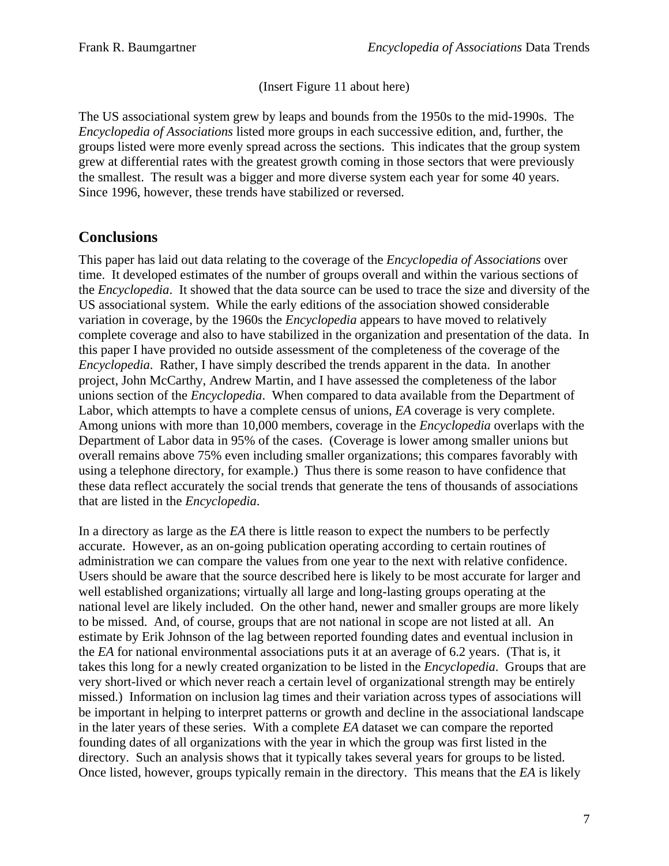(Insert Figure 11 about here)

The US associational system grew by leaps and bounds from the 1950s to the mid-1990s. The *Encyclopedia of Associations* listed more groups in each successive edition, and, further, the groups listed were more evenly spread across the sections. This indicates that the group system grew at differential rates with the greatest growth coming in those sectors that were previously the smallest. The result was a bigger and more diverse system each year for some 40 years. Since 1996, however, these trends have stabilized or reversed.

### **Conclusions**

This paper has laid out data relating to the coverage of the *Encyclopedia of Associations* over time. It developed estimates of the number of groups overall and within the various sections of the *Encyclopedia*. It showed that the data source can be used to trace the size and diversity of the US associational system. While the early editions of the association showed considerable variation in coverage, by the 1960s the *Encyclopedia* appears to have moved to relatively complete coverage and also to have stabilized in the organization and presentation of the data. In this paper I have provided no outside assessment of the completeness of the coverage of the *Encyclopedia*. Rather, I have simply described the trends apparent in the data. In another project, John McCarthy, Andrew Martin, and I have assessed the completeness of the labor unions section of the *Encyclopedia*. When compared to data available from the Department of Labor, which attempts to have a complete census of unions, *EA* coverage is very complete. Among unions with more than 10,000 members, coverage in the *Encyclopedia* overlaps with the Department of Labor data in 95% of the cases. (Coverage is lower among smaller unions but overall remains above 75% even including smaller organizations; this compares favorably with using a telephone directory, for example.) Thus there is some reason to have confidence that these data reflect accurately the social trends that generate the tens of thousands of associations that are listed in the *Encyclopedia*.

In a directory as large as the *EA* there is little reason to expect the numbers to be perfectly accurate. However, as an on-going publication operating according to certain routines of administration we can compare the values from one year to the next with relative confidence. Users should be aware that the source described here is likely to be most accurate for larger and well established organizations; virtually all large and long-lasting groups operating at the national level are likely included. On the other hand, newer and smaller groups are more likely to be missed. And, of course, groups that are not national in scope are not listed at all. An estimate by Erik Johnson of the lag between reported founding dates and eventual inclusion in the *EA* for national environmental associations puts it at an average of 6.2 years. (That is, it takes this long for a newly created organization to be listed in the *Encyclopedia*. Groups that are very short-lived or which never reach a certain level of organizational strength may be entirely missed.) Information on inclusion lag times and their variation across types of associations will be important in helping to interpret patterns or growth and decline in the associational landscape in the later years of these series. With a complete *EA* dataset we can compare the reported founding dates of all organizations with the year in which the group was first listed in the directory. Such an analysis shows that it typically takes several years for groups to be listed. Once listed, however, groups typically remain in the directory. This means that the *EA* is likely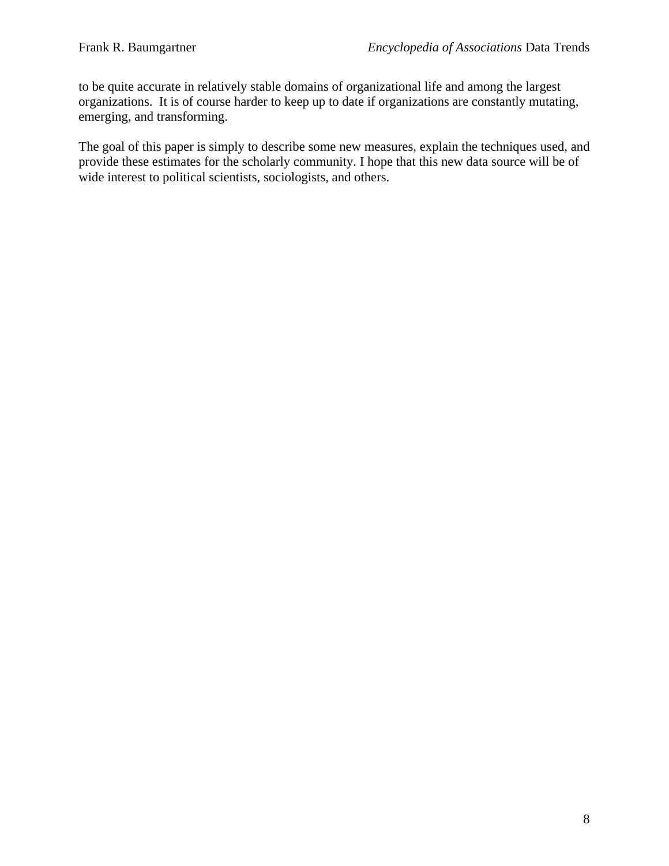to be quite accurate in relatively stable domains of organizational life and among the largest organizations. It is of course harder to keep up to date if organizations are constantly mutating, emerging, and transforming.

The goal of this paper is simply to describe some new measures, explain the techniques used, and provide these estimates for the scholarly community. I hope that this new data source will be of wide interest to political scientists, sociologists, and others.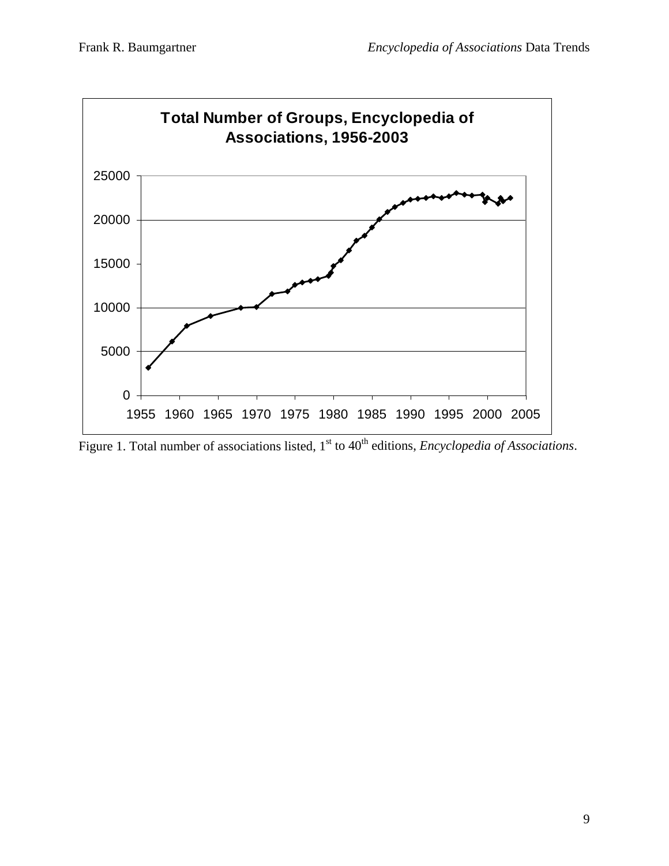

Figure 1. Total number of associations listed, 1<sup>st</sup> to 40<sup>th</sup> editions, *Encyclopedia of Associations*.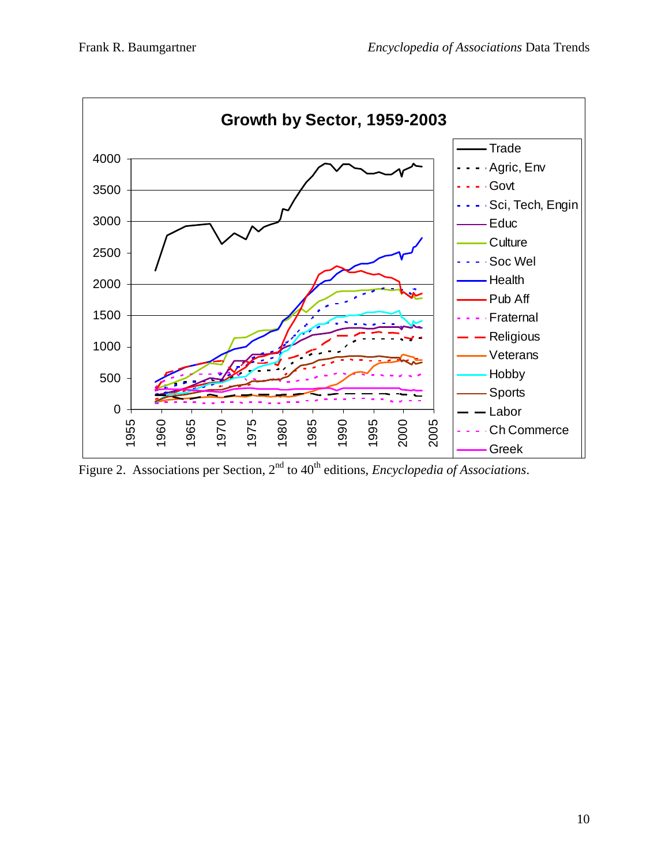

Figure 2. Associations per Section, 2<sup>nd</sup> to 40<sup>th</sup> editions, *Encyclopedia of Associations*.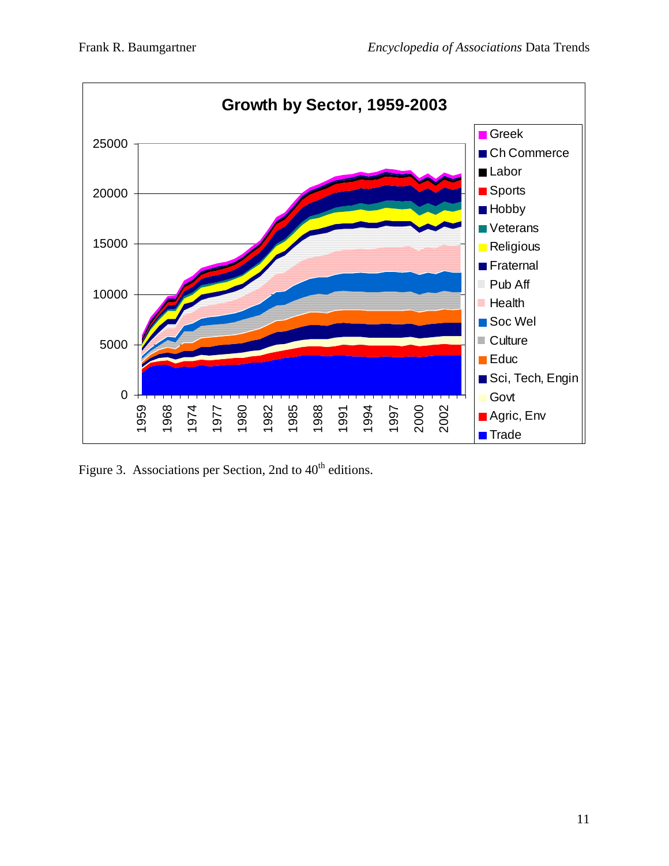

Figure 3. Associations per Section, 2nd to  $40<sup>th</sup>$  editions.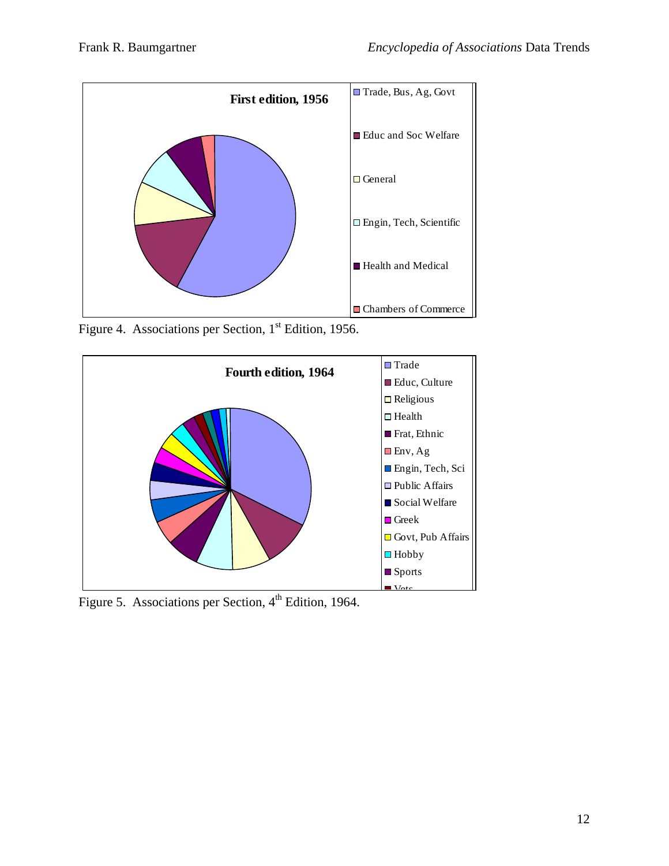

Figure 4. Associations per Section, 1<sup>st</sup> Edition, 1956.



Figure 5. Associations per Section, 4<sup>th</sup> Edition, 1964.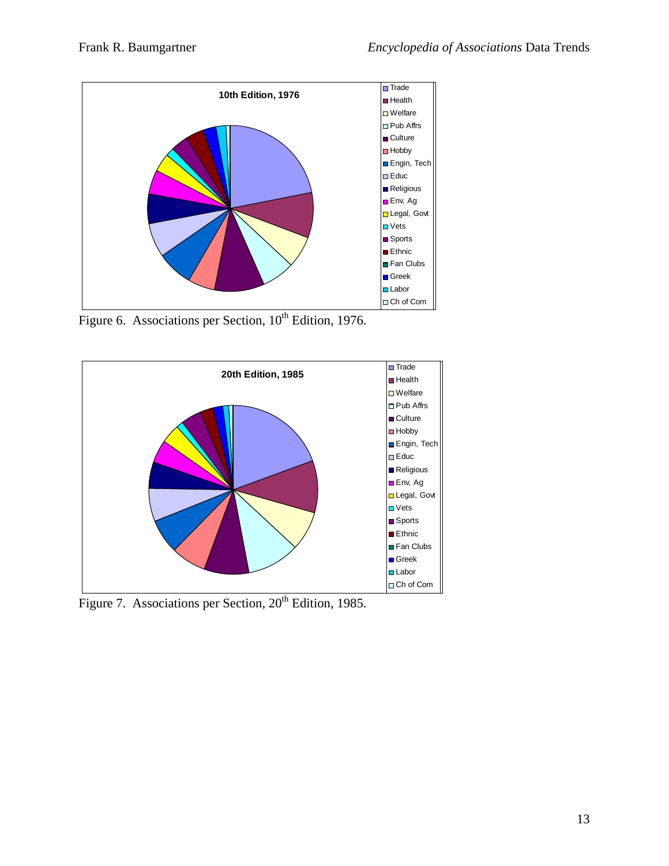

Figure 6. Associations per Section, 10<sup>th</sup> Edition, 1976.



Figure 7. Associations per Section, 20<sup>th</sup> Edition, 1985.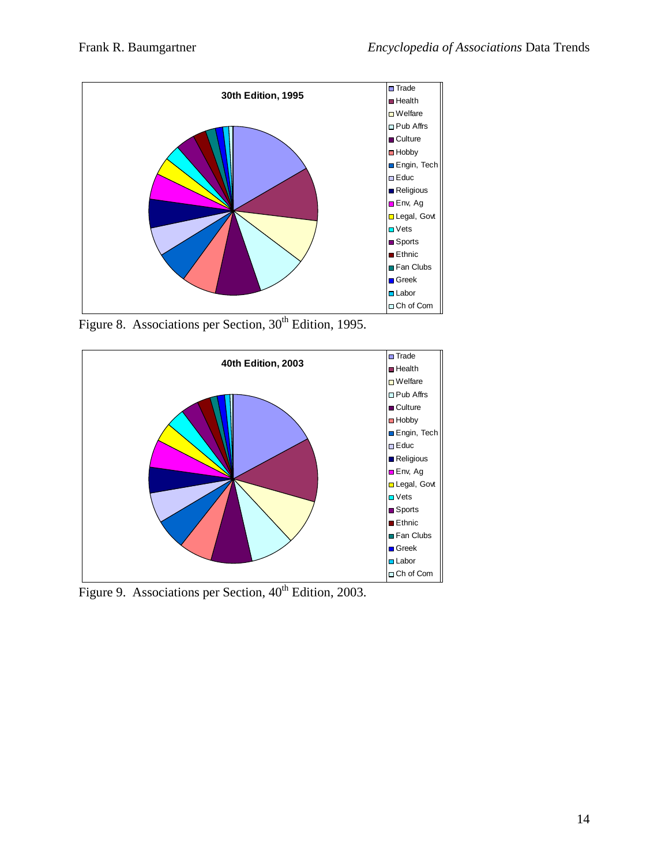

Figure 8. Associations per Section,  $30<sup>th</sup>$  Edition, 1995.



Figure 9. Associations per Section, 40<sup>th</sup> Edition, 2003.